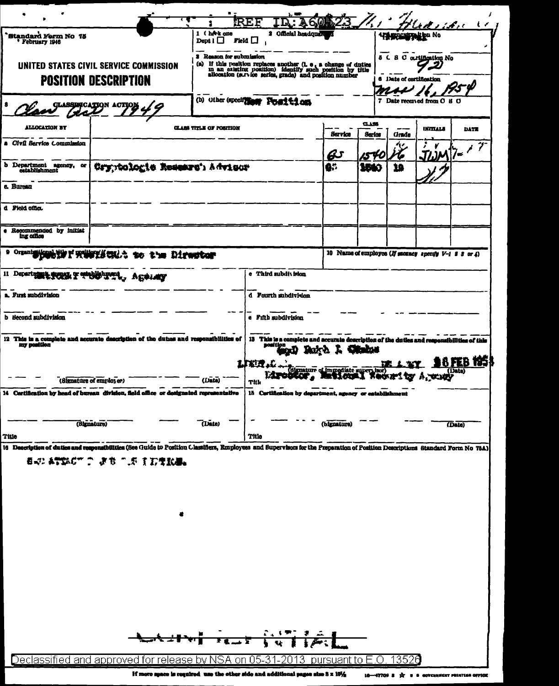|                                                                       |                                                                                                                                                                                                           |                                         |                             |                                                                                                                                 |                                                     |              | ودمحت ومطح                 |                               |
|-----------------------------------------------------------------------|-----------------------------------------------------------------------------------------------------------------------------------------------------------------------------------------------------------|-----------------------------------------|-----------------------------|---------------------------------------------------------------------------------------------------------------------------------|-----------------------------------------------------|--------------|----------------------------|-------------------------------|
| `Standard Form No. 75<br>' February 1946                              |                                                                                                                                                                                                           | 1 (herk one<br>Dept $\mathbf{l}$ $\Box$ | Field                       | 2 Official headquar                                                                                                             |                                                     | 47 generaliy | it bu No                   |                               |
| UNITED STATES CIVIL SERVICE COMMISSION<br><b>POSITION DESCRIPTION</b> | 3 Reason for submission<br>(a) If this rosition replaces another $(1.0, 5.0)$ and outles in an existing position) identify such position by title allocation (survice series, grade) and position number  |                                         |                             |                                                                                                                                 | 5 C S C ourtification No<br>6 Date of certification |              |                            |                               |
|                                                                       |                                                                                                                                                                                                           | (b) Other (specify)                     | <b>Fosition</b>             |                                                                                                                                 |                                                     |              | 7 Date received from O 8 O |                               |
| <b>ALLOCATION BY</b>                                                  |                                                                                                                                                                                                           | <b>CLASS TITLE OF POSITION</b>          |                             | <b>Service</b>                                                                                                                  | <b>CLASS</b><br>Ser los                             | Grade        | <b>INITIALS</b>            | <b>DATE</b>                   |
| a Civil Service Commission                                            |                                                                                                                                                                                                           |                                         |                             | <u>ඩ</u>                                                                                                                        |                                                     |              |                            | $\widehat{\mathcal{T}}$<br>/∈ |
| b Department agency,<br>œ<br>establishment                            | Cryptologie Resears' Advisor                                                                                                                                                                              |                                         |                             | Ġ.                                                                                                                              | wo                                                  | 19           |                            |                               |
| c. Bureau                                                             |                                                                                                                                                                                                           |                                         |                             |                                                                                                                                 |                                                     |              |                            |                               |
| d Field office                                                        |                                                                                                                                                                                                           |                                         |                             |                                                                                                                                 |                                                     |              |                            |                               |
| Recommended by initiat<br>ing office                                  |                                                                                                                                                                                                           |                                         |                             |                                                                                                                                 |                                                     |              |                            |                               |
| 9 Organizational and a problem of control.<br>to the Director         |                                                                                                                                                                                                           |                                         |                             | 10 Name of employee (If sucancy specify $V-1$ 2 3 or 4)                                                                         |                                                     |              |                            |                               |
| 11 Departum                                                           | UL T CHUP TEL<br>しょ れに申します                                                                                                                                                                                |                                         | e Third subdit islon        |                                                                                                                                 |                                                     |              |                            |                               |
| a. Fırst subdivision                                                  |                                                                                                                                                                                                           | d Fourth subdivision                    |                             |                                                                                                                                 |                                                     |              |                            |                               |
| b Becond subdivision                                                  |                                                                                                                                                                                                           |                                         | e Fifth subdivision         |                                                                                                                                 |                                                     |              |                            |                               |
| my position                                                           | 12 This is a complete and accurate description of the duties and responsibilities of<br>(Signature of employee)                                                                                           | (Date)                                  | sosition<br>827 人。<br>Title | 13 This is a complete and accurate description of the duties and responsibilities of this<br>Signature of immediate supervisor) |                                                     | DE 1.37      | . T.VI                     | 18 FEB 1951<br>(Data)         |
|                                                                       | 14 Certification by head of bureau division, field office or designated representative                                                                                                                    |                                         |                             | 15 Certification by department, agency or establishment                                                                         |                                                     |              |                            |                               |
| Title                                                                 | (Signature)                                                                                                                                                                                               | (Date)                                  | <b>Title</b>                | (bignature)                                                                                                                     |                                                     |              |                            | (Date)                        |
|                                                                       | 16 Description of duties and responsibilities (See Guide to Position Classifiers, Employees and Supervisors for the Preparation of Position Descriptions Standard Form No 78A)<br>看記 あやねのてご ようご こだ 主力生飲湯。 |                                         |                             |                                                                                                                                 |                                                     |              |                            |                               |
|                                                                       |                                                                                                                                                                                                           |                                         |                             |                                                                                                                                 |                                                     |              |                            |                               |
|                                                                       | LAINT TESTATION                                                                                                                                                                                           |                                         |                             |                                                                                                                                 |                                                     |              |                            |                               |

Declassified and approved for release by NSA on 05-31-2013 pursuant to E.O. 13526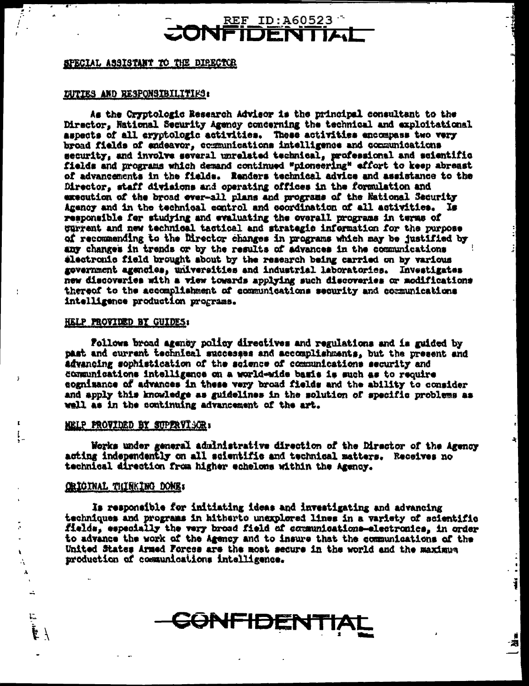### **REF ID:A60523 DENTIL**

#### SPECIAL ASSISTANT TO THE DIRECTOR

#### DUTIES AND RESPONSIBILITIES:

As the Cryptologic Research Advisor is the principal consultant to the Director, National Security Agency concerning the technical and exploitational aspects of all eryptologic activities. These activities encompass two very broad fields of endeavor, communications intelligence and communications security, and involve several unrelated technical, professional and scientific fields and programs which demand continued "pioneering" effort to keep abreast of advancements in the fields. Renders technical advice and assistance to the Director, staff divisions and operating offices in the formulation and execution of the broad ever-all plans and programs of the National Security Agency and in the technical equirol and coordination of all activities. Is responsible for studying and evaluating the overall programs in terms of gurrent and new technical tactical and strategic information for the purpose of recommending to the Director changes in programs which may be justified by any changes in trends or by the results of advances in the communications electronic field brought about by the research being carried on by various government agencies, universities and industrial laboratories. Investigates new discoveries with a view towards applying such discoveries or modifications thereof to the accomplishment of communications security and communications intelligence production programs.

#### HELP PROVIDED BY GUIDES:

Follows broad agency policy directives and regulations and is guided by past and current technical successes and accomplishments, but the present and advancing sophistication of the science of communications security and communications intelligance on a world-wide basis is such as to require cognizance of advances in these very broad fields and the ability to consider and apply this knowledge as guidelines in the solution of specific problems as well as in the continuing advancement of the art.

#### NELP PROVIDED BY SUPPRVISCE.

Works under general administrative direction of the Director of the Agency acting independently on all scientific and technical matters. Receives no technical direction from higher echelons within the Agency.

Ĵ.

٠

j

潮

#### **CRICINAL THINKING DONE:**

A,

v.

ほく

Is responsible for initiating ideas and investigating and advancing techniques and programs in hitherto unexplored lines in a variety of scientific fields, especially the very broad field of communications-electronics, in order to advance the work of the Agency and to insure that the communications of the United States Armed Forces are the most secure in the world and the maximum production of communications intelligence.

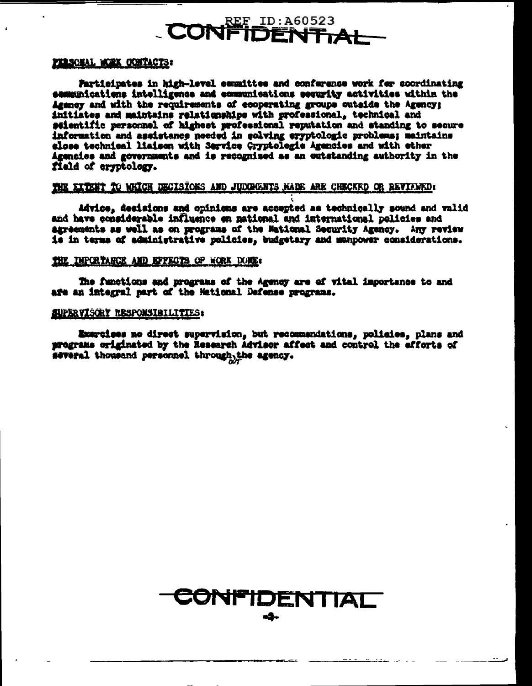## **REF ID: A60523 DENTIAL**

#### PERSONAL WORK CONTACTS:

Farticipates in high-level esumittee and conference work for coordinating sammunications intelligence and communications security activities within the Agency and with the requirements of ecoperating groups cutside the Agency; initiates and maintains relationships with professional, technical and seientific personnel of highest professional reputation and standing to secure information and assistance needed in solving eryptologic problems; maintains slose technical liaisen with Service Cryptologic Agencies and with other Agencies and governments and is recognised as an outstanding authority in the field of errotology.

#### THE EXTENT TO WHICH DECISIONS AND JUDGMENTS MADE ARE CHECKED OR REVIEWED:

Advice, desisions and opinions are accepted as technically sound and valid and have considerable influence on national and international policies and agreements as well as on programs of the Mational Security Agency. Any review is in terms of administrative policies, budgetary and manpower considerations.

#### THE DIPORTANCE AND EFFECTS OF WORK DONE:

The functions and programs of the Agency are of vital importance to and afe an integral part of the Mational Defense programs.

#### SUPERVISORY RESPONSIBILITIES:

Exercises no direct supervision, but recommendations, policies, plans and programs originated by the Research Advisor affect and control the efforts of several thousand personnel through the agency.

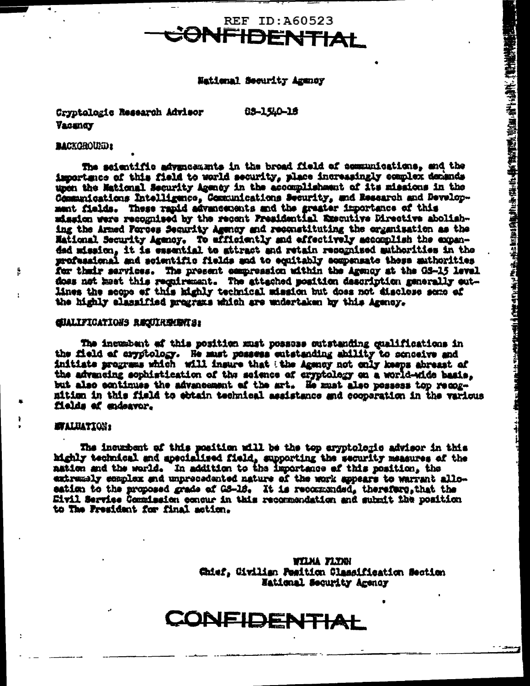

#### National Security Agency

Cryptalogic Research Advisor Vacandy

03-1540-18

#### **BACKGROUND:**

ļ.

The scientific advancements in the broad field of communications, and the importance of this field to world security, place increasingly complex denands upon the Mational Security Agency in the accomplishment of its missions in the Communications Intelligence, Communications Security, and Research and Development fields. These rapid advancements and the graater importance of this mission were recognised by the recent Fresidential Executive Directive abolishing the Armed Forces Security Agency and reconstituting the organisation as the Mational Security Agency. To efficiently and effectively accomplish the expanded mission, it is essential to attract and retain recognized authorities in the professional and soientific fields and to equitably compensate these authorities for their services. The present compression within the Agency at the GS-15 level does not meet this regulrement. The attached position description generally outlines the scope of this highly technical mission but does not disclose semp of the highly classified programs which are undertaken by this Agency.

#### **GIALIFICATIONS REQUIREMENTS:**

The insumbent af this position must possuse outstanding qualifications in the field of aryptology. He must possess entstanding ability to scnoeive and initiate programs which will insure that the Agency not only keeps abreast of the advancing sophistication of the science of cryptology on a world-wide basis. but also continues the advancement of the art. He must also possess top recogmition in this field to ebtain technical assistance and cooperation in the various fields of endeavor.

#### **STALUATION:**

The incurbent of this position will be the top eryptologic advisor in this highly technical and apecialized field, supporting the security measures of the nation and the world. In addition to the importance of this position, the extremely complex and unprecedented nature of the work appears to warrant alloeation to the proposed grade of GS-18. It is recommended, therefore, that the Eivil Service Commission concur in this recommendation and submit the position to The President for final action.

> **WILMA FLYAN** Chief, Civilian Peattion Classification Section National Security Agency

# CONFIDENTIAL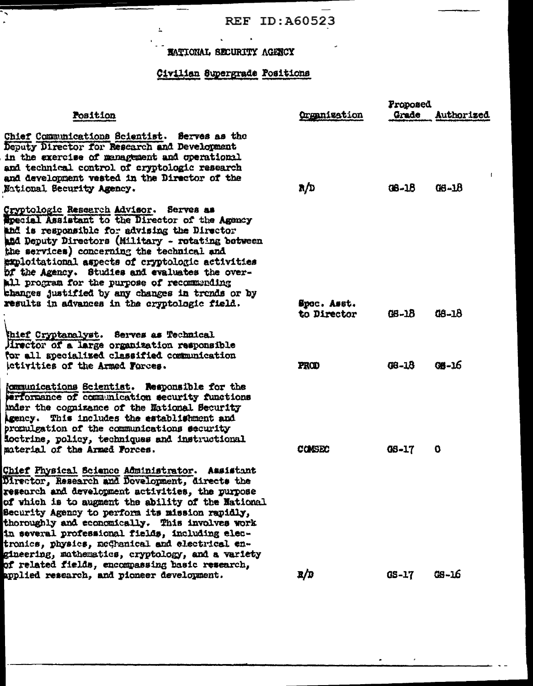$\overline{\phantom{a}}$ 

 $\bullet$ 

# **MATIONAL SECURITY AGENCY**

 $\bullet$ 

 $\mathbf{v}^{\dagger}$ 

 $\Delta$ 

 $\ddot{\phantom{0}}$ 

## Civilian Supergrade Positions

|                                                                                                                                                                                                                                                                                                                                                                                                                                                                                                                                  |                            | Proposed     |              |  |
|----------------------------------------------------------------------------------------------------------------------------------------------------------------------------------------------------------------------------------------------------------------------------------------------------------------------------------------------------------------------------------------------------------------------------------------------------------------------------------------------------------------------------------|----------------------------|--------------|--------------|--|
| Position                                                                                                                                                                                                                                                                                                                                                                                                                                                                                                                         | <b>Organization</b>        | Grade        | Authorized   |  |
| Chief Communications Scientist. Serves as the<br>Deputy Director for Research and Development<br>in the exercise of management and operational<br>and technical control of cryptologic research<br>and development vested in the Director of the<br>National Security Agency.                                                                                                                                                                                                                                                    | R/D                        | $08 - 18$    | 08-18        |  |
| Cryptologic Research Advisor. Serves as<br><b>Special Assistant to the Director of the Agency</b><br>and is responsible for advising the Director<br>and Deputy Directors (Military - rotating between<br>the services) concerning the technical and<br>exploitational aspects of cryptologic activities<br>bf the Agency. Studies and evaluates the over-<br>All program for the purpose of recommending<br>changes justified by any changes in trends or by<br>results in advances in the cryptologic field.                   | Spec. Asst.<br>to Director | GB-18        | 08-18        |  |
| thief Cryptanalyst. Serves as Technical<br>lirector of a large organization responsible<br>for all specialized classified communication<br>ictivities of the Armed Forces.                                                                                                                                                                                                                                                                                                                                                       | PROD                       | $08 - 18$    | <b>GB-16</b> |  |
| {communications Scientist. Responsible for the<br>erformance of communication security functions<br>inder the cognizance of the National Security<br>Agency. This includes the establishment and<br>promulgation of the communications security<br>foctrine, policy, techniques and instructional<br>material of the Armed Forces.                                                                                                                                                                                               | <b>CONSEC</b>              | <b>GS-17</b> | 0            |  |
| Chief Physical Science Administrator. Assistant<br>Director, Research and Development, directs the<br>research and development activities, the purpose<br>of which is to augment the ability of the National<br>Security Agency to perform its mission rapidly,<br>thoroughly and economically. This involves work<br>in several professional fields, including elec-<br>tronics, physics, medhanical and electrical en-<br>gineering, mathematics, cryptology, and a variety<br>of related fields, encompassing basic research, |                            |              |              |  |
| applied research, and pioneer development.                                                                                                                                                                                                                                                                                                                                                                                                                                                                                       | E/D                        | $0S-17$      | $CS - L6$    |  |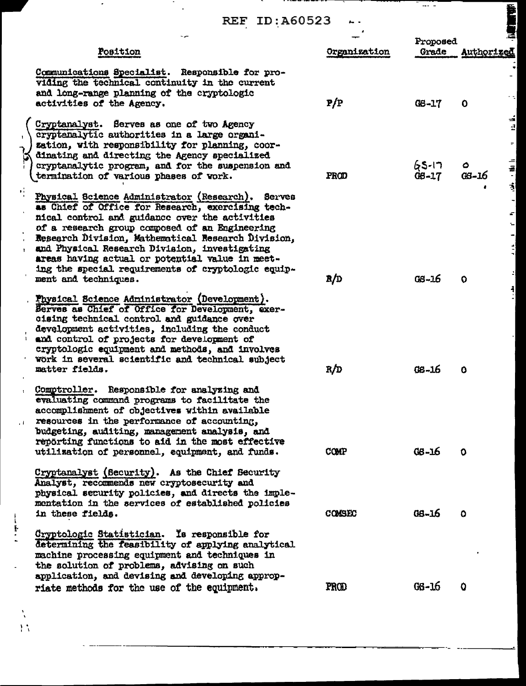$\cdot$  .

П.,

 $\mathbb{Z}$ 

| <b>REF ID: A60523</b>                                                                                                                                                                                                                                                                                                                                                                                                                                    |              |                     |                               |
|----------------------------------------------------------------------------------------------------------------------------------------------------------------------------------------------------------------------------------------------------------------------------------------------------------------------------------------------------------------------------------------------------------------------------------------------------------|--------------|---------------------|-------------------------------|
|                                                                                                                                                                                                                                                                                                                                                                                                                                                          |              | Proposed            |                               |
| Position                                                                                                                                                                                                                                                                                                                                                                                                                                                 | Organization | Grade               | Authorized                    |
| Communications Specialist. Responsible for pro-<br>viding the technical continuity in the current<br>and long-range planning of the cryptologic<br>activities of the Agency.                                                                                                                                                                                                                                                                             | P/P          | $C8 - 17$           | 0                             |
| Cryptanalyst. Serves as one of two Agency<br>cryptenalytic authorities in a large organi-<br>zation, with responsibility for planning, coor-<br>dinating and directing the Agency specialized<br>cryptanalytic program, and for the suspension and<br>termination of various phases of vork.                                                                                                                                                             | PROD         | 65-17<br>$G6 - 1.7$ | é<br>4<br>۰<br>$08 - 16$<br>ţ |
| п.<br>Physical Science Administrator (Research). Serves<br>as Chief of Office for Research, exercising tech-<br>nical control and guidance over the activities<br>of a research group composed of an Engineering<br>Research Division, Mathematical Research Division,<br>and Physical Research Division, investigating<br>areas having actual or potential value in meet-<br>ing the special requirements of cryptologic equip-<br>ment and techniques. | R/D          | $0.5 - 16$          | O                             |
| Physical Science Administrator (Development).<br>Berves as Chief of Office for Development, exer-<br>cising technical control and guidance over<br>development activities, including the conduct<br>and control of projects for development of<br>cryptologic equipment and methods, and involves<br>work in several scientific and technical subject<br>matter fields.                                                                                  | R/D          | $08 - 16$           | o                             |
| Comptroller. Responsible for analyzing and<br>evaluating command programs to facilitate the<br>accomplishment of objectives within available<br>resources in the performance of accounting.<br>budgeting, auditing, management analysis, and<br>reporting functions to aid in the most effective<br>utilization of personnel, equipment, and funds.                                                                                                      | COMP         | $66 - 16$           | $\mathbf o$                   |
| Cryptanalyst (Security). As the Chief Security<br>Analyst, recommends new cryptosecurity and<br>physical security policies, and directs the imple-<br>mentation in the services of established policies<br>in these fields.                                                                                                                                                                                                                              | COMSEC       | $08 - 16$           | $\bullet$                     |
| Cryptologic Statistician. Is responsible for<br>determining the feasibility of applying analytical<br>machine processing equipment and techniques in<br>the solution of problems, advising on such<br>application, and devising and developing approp-<br>riate methods for the use of the equipment.                                                                                                                                                    | PROD         | $66 - 16$           | $\mathbf Q$                   |

 $\frac{1}{1.5}$ 

 $\sim 1$ 

 $\frac{1}{2}$